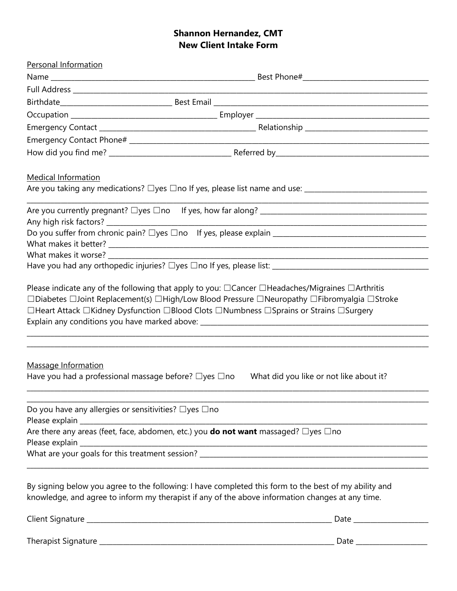# **Shannon Hernandez, CMT New Client Intake Form**

| Personal Information       |                                                                                                                                                                                                                                                                                                          |
|----------------------------|----------------------------------------------------------------------------------------------------------------------------------------------------------------------------------------------------------------------------------------------------------------------------------------------------------|
|                            |                                                                                                                                                                                                                                                                                                          |
|                            |                                                                                                                                                                                                                                                                                                          |
|                            |                                                                                                                                                                                                                                                                                                          |
|                            |                                                                                                                                                                                                                                                                                                          |
|                            |                                                                                                                                                                                                                                                                                                          |
|                            |                                                                                                                                                                                                                                                                                                          |
|                            |                                                                                                                                                                                                                                                                                                          |
| <b>Medical Information</b> |                                                                                                                                                                                                                                                                                                          |
|                            | Are you taking any medications? Dyes Dno If yes, please list name and use: ___________________________________<br><u> 1989 - Johann Harry Harry Harry Harry Harry Harry Harry Harry Harry Harry Harry Harry Harry Harry Harry Harry</u>                                                                  |
|                            |                                                                                                                                                                                                                                                                                                          |
|                            |                                                                                                                                                                                                                                                                                                          |
|                            |                                                                                                                                                                                                                                                                                                          |
|                            |                                                                                                                                                                                                                                                                                                          |
|                            |                                                                                                                                                                                                                                                                                                          |
|                            | Please indicate any of the following that apply to you: $\Box$ Cancer $\Box$ Headaches/Migraines $\Box$ Arthritis<br>□Diabetes □Joint Replacement(s) □High/Low Blood Pressure □Neuropathy □Fibromyalgia □Stroke<br>□Heart Attack □Kidney Dysfunction □Blood Clots □Numbness □Sprains or Strains □Surgery |
| Massage Information        | Have you had a professional massage before? $\Box$ yes $\Box$ no<br>What did you like or not like about it?                                                                                                                                                                                              |
|                            | Do you have any allergies or sensitivities? □yes □no                                                                                                                                                                                                                                                     |
|                            | Are there any areas (feet, face, abdomen, etc.) you <b>do not want</b> massaged? $\Box$ yes $\Box$ no                                                                                                                                                                                                    |
|                            |                                                                                                                                                                                                                                                                                                          |
|                            | By signing below you agree to the following: I have completed this form to the best of my ability and<br>knowledge, and agree to inform my therapist if any of the above information changes at any time.                                                                                                |
|                            |                                                                                                                                                                                                                                                                                                          |
|                            |                                                                                                                                                                                                                                                                                                          |